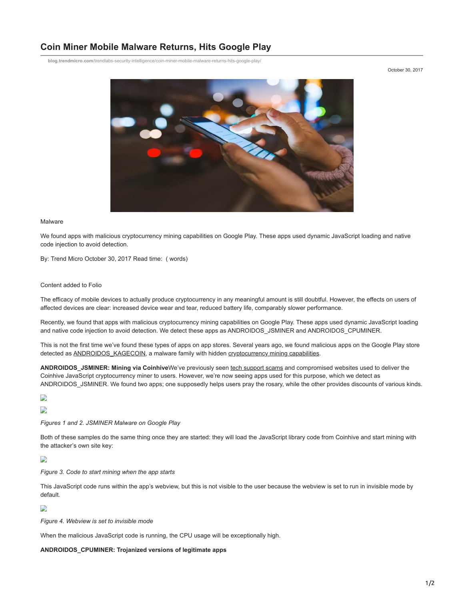# **Coin Miner Mobile Malware Returns, Hits Google Play**

**blog.trendmicro.com**[/trendlabs-security-intelligence/coin-miner-mobile-malware-returns-hits-google-play/](https://blog.trendmicro.com/trendlabs-security-intelligence/coin-miner-mobile-malware-returns-hits-google-play/)

October 30, 2017



#### Malware

We found apps with malicious cryptocurrency mining capabilities on Google Play. These apps used dynamic JavaScript loading and native code injection to avoid detection.

By: Trend Micro October 30, 2017 Read time: ( words)

#### Content added to Folio

The efficacy of mobile devices to actually produce cryptocurrency in any meaningful amount is still doubtful. However, the effects on users of affected devices are clear: increased device wear and tear, reduced battery life, comparably slower performance.

Recently, we found that apps with malicious cryptocurrency mining capabilities on Google Play. These apps used dynamic JavaScript loading and native code injection to avoid detection. We detect these apps as ANDROIDOS\_JSMINER and ANDROIDOS\_CPUMINER.

This is not the first time we've found these types of apps on app stores. Several years ago, we found malicious apps on the Google Play store detected as [ANDROIDOS\\_KAGECOIN](http://blog.trendmicro.com/trendlabs-security-intelligence/mobile-malware-mines-dogecoins-and-litecoins-for-bitcoin-payout/), a malware family with hidden [cryptocurrency mining capabilities.](https://blog.gdatasoftware.com/blog/article/android-malware-goes-to-the-moon.html)

**ANDROIDOS\_JSMINER: Mining via Coinhive**We've previously seen [tech support scams](http://blog.trendmicro.com/trendlabs-security-intelligence/eitest-campaign-uses-tech-support-scams-deliver-coinhives-monero-miner/) and compromised websites used to deliver the Coinhive JavaScript cryptocurrency miner to users. However, we're now seeing apps used for this purpose, which we detect as ANDROIDOS\_JSMINER. We found two apps; one supposedly helps users pray the rosary, while the other provides discounts of various kinds.

## D

D

*Figures 1 and 2. JSMINER Malware on Google Play*

Both of these samples do the same thing once they are started: they will load the JavaScript library code from Coinhive and start mining with the attacker's own site key:

D

*Figure 3. Code to start mining when the app starts*

This JavaScript code runs within the app's webview, but this is not visible to the user because the webview is set to run in invisible mode by default.

#### D

*Figure 4. Webview is set to invisible mode*

When the malicious JavaScript code is running, the CPU usage will be exceptionally high.

#### **ANDROIDOS\_CPUMINER: Trojanized versions of legitimate apps**